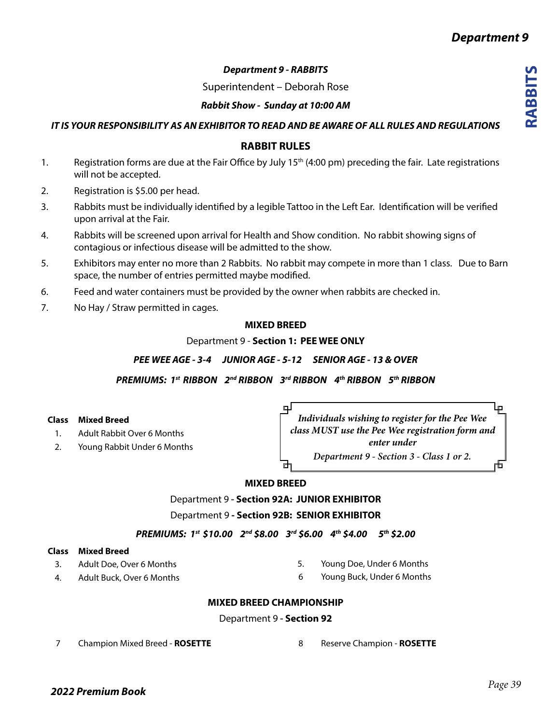# *Department 9 - RABBITS*

Superintendent – Deborah Rose

## *Rabbit Show - Sunday at 10:00 AM*

*IT IS YOUR RESPONSIBILITY AS AN EXHIBITOR TO READ AND BE AWARE OF ALL RULES AND REGULATIONS*

# **RABBIT RULES**

- 1. Registration forms are due at the Fair Office by July 15<sup>th</sup> (4:00 pm) preceding the fair. Late registrations will not be accepted.
- 2. Registration is \$5.00 per head.
- 3. Rabbits must be individually identified by a legible Tattoo in the Left Ear. Identification will be verified upon arrival at the Fair.
- 4. Rabbits will be screened upon arrival for Health and Show condition. No rabbit showing signs of contagious or infectious disease will be admitted to the show.
- 5. Exhibitors may enter no more than 2 Rabbits. No rabbit may compete in more than 1 class. Due to Barn space, the number of entries permitted maybe modified.
- 6. Feed and water containers must be provided by the owner when rabbits are checked in.
- 7. No Hay / Straw permitted in cages.

### **MIXED BREED**

Department 9 - **Section 1: PEE WEE ONLY**

*PEE WEE AGE - 3-4 JUNIOR AGE - 5-12 SENIOR AGE - 13 & OVER*

*PREMIUMS: 1st RIBBON 2nd RIBBON 3rd RIBBON 4th RIBBON 5th RIBBON*

▣

### **Class Mixed Breed**

- 1. Adult Rabbit Over 6 Months
- 2. Young Rabbit Under 6 Months

₽ *Individuals wishing to register for the Pee Wee class MUST use the Pee Wee registration form and enter under Department 9 - Section 3 - Class 1 or 2.* 舌

## **MIXED BREED**

Department 9 **- Section 92A: JUNIOR EXHIBITOR**

Department 9 **- Section 92B: SENIOR EXHIBITOR**

*PREMIUMS: 1st \$10.00 2nd \$8.00 3rd \$6.00 4th \$4.00 5th \$2.00* 

## **Class Mixed Breed**

- 3. Adult Doe, Over 6 Months
- 4. Adult Buck, Over 6 Months
- 5. Young Doe, Under 6 Months
- 6 Young Buck, Under 6 Months

## **MIXED BREED CHAMPIONSHIP**

#### Department 9 **- Section 92**

7 Champion Mixed Breed - **ROSETTE**

8 Reserve Champion - **ROSETTE**